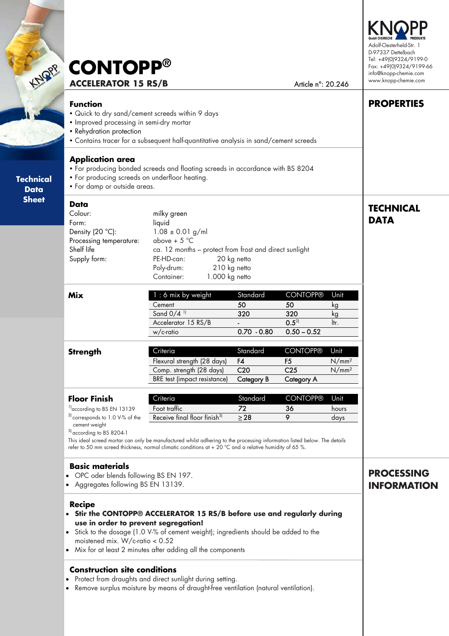| <b>LNQPP</b><br><b>Technical</b><br><b>Data</b><br><b>Sheet</b> | <b>CONTOPP®</b><br><b>ACCELERATOR 15 RS/B</b>                                                                                                                                                                                                                                                                                 | Article n°: 20.246                                                                                                                                                                                                                                                                                                     | Adolf-Oesterheld-Str. 1<br>D-97337 Dettelbach<br>Tel: +49(0)9324/9199-0<br>Fax: +49(0)9324/9199-66<br>info@knopp-chemie.com<br>www.knopp-chemie.com |                                                                           |                                                |                                         |  |
|-----------------------------------------------------------------|-------------------------------------------------------------------------------------------------------------------------------------------------------------------------------------------------------------------------------------------------------------------------------------------------------------------------------|------------------------------------------------------------------------------------------------------------------------------------------------------------------------------------------------------------------------------------------------------------------------------------------------------------------------|-----------------------------------------------------------------------------------------------------------------------------------------------------|---------------------------------------------------------------------------|------------------------------------------------|-----------------------------------------|--|
|                                                                 | <b>Function</b><br>. Quick to dry sand/cement screeds within 9 days<br>• Improved processing in semi-dry mortar<br>• Rehydration protection<br>• Contains tracer for a subsequent half-quantitative analysis in sand/cement screeds                                                                                           | <b>PROPERTIES</b>                                                                                                                                                                                                                                                                                                      |                                                                                                                                                     |                                                                           |                                                |                                         |  |
|                                                                 | <b>Application area</b><br>. For producing bonded screeds and floating screeds in accordance with BS 8204<br>• For producing screeds on underfloor heating.<br>• For damp or outside areas.                                                                                                                                   |                                                                                                                                                                                                                                                                                                                        |                                                                                                                                                     |                                                                           |                                                |                                         |  |
|                                                                 | Data<br>Colour:<br>Form:<br>Density $(20 °C)$ :<br>Processing temperature:<br>Shelf life<br>Supply form:                                                                                                                                                                                                                      | milky green<br>liquid<br>$1.08 \pm 0.01$ g/ml<br>above + $5^{\circ}$ C<br>ca. 12 months - protect from frost and direct sunlight<br>PE-HD-can:<br>20 kg netto<br>Poly-drum:<br>210 kg netto<br>Container:<br>1.000 kg netto                                                                                            |                                                                                                                                                     |                                                                           |                                                | <b>TECHNICAL</b><br><b>DATA</b>         |  |
|                                                                 | <b>Mix</b>                                                                                                                                                                                                                                                                                                                    | 1 : 6 mix by weight<br>Cement<br>Sand 0/4 <sup>11</sup><br>Accelerator 15 RS/B<br>w/c-ratio                                                                                                                                                                                                                            | Standard<br>50<br>320<br>$0.70 - 0.80$                                                                                                              | <b>CONTOPP®</b><br>50<br>320<br>$0.5^{21}$<br>$0.50 - 0.52$               | Unit<br>kg<br>kg<br>ltr.                       |                                         |  |
|                                                                 | <b>Strength</b>                                                                                                                                                                                                                                                                                                               | Criteria<br>Flexural strength (28 days)<br>Comp. strength (28 days)<br><b>BRE</b> test (impact resistance)                                                                                                                                                                                                             | Standard<br>F4<br>C <sub>20</sub><br><b>Category B</b>                                                                                              | <b>CONTOPP®</b><br>F <sub>5</sub><br>C <sub>25</sub><br><b>Category A</b> | Unit<br>N/mm <sup>2</sup><br>N/mm <sup>2</sup> |                                         |  |
|                                                                 | <b>Floor Finish</b><br><sup>1)</sup> according to BS EN 13139<br><sup>2)</sup> corresponds to 1.0 V-% of the<br>cement weight<br><sup>3)</sup> according to BS 8204-1                                                                                                                                                         | Criteria<br>Foot traffic<br>Receive final floor finish <sup>3)</sup><br>This ideal screed mortar can only be manufactured whilst adhering to the processing information listed below. The details<br>refer to 50 mm screed thickness, normal climatic conditions at + 20 $^{\circ}$ C and a relative humidity of 65 %. | Standard<br>72<br>$\geq$ 28                                                                                                                         | <b>CONTOPP®</b><br>36<br>9                                                | Unit<br>hours<br>days                          |                                         |  |
|                                                                 | <b>Basic materials</b><br>OPC oder blends following BS EN 197.<br>• Aggregates following BS EN 13139.                                                                                                                                                                                                                         |                                                                                                                                                                                                                                                                                                                        |                                                                                                                                                     |                                                                           |                                                | <b>PROCESSING</b><br><b>INFORMATION</b> |  |
|                                                                 | <b>Recipe</b><br>• Stir the CONTOPP® ACCELERATOR 15 RS/B before use and regularly during<br>use in order to prevent segregation!<br>• Stick to the dosage (1.0 V-% of cement weight); ingredients should be added to the<br>moistened mix. W/c-ratio $< 0.52$<br>• Mix for at least 2 minutes after adding all the components |                                                                                                                                                                                                                                                                                                                        |                                                                                                                                                     |                                                                           |                                                |                                         |  |
|                                                                 | <b>Construction site conditions</b><br>• Protect from draughts and direct sunlight during setting.<br>Remove surplus moisture by means of draught-free ventilation (natural ventilation).<br>$\bullet$                                                                                                                        |                                                                                                                                                                                                                                                                                                                        |                                                                                                                                                     |                                                                           |                                                |                                         |  |